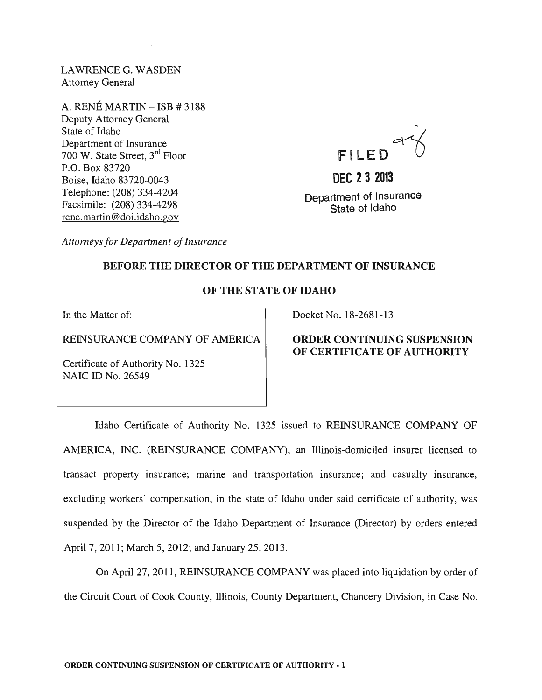LAWRENCE G. WASDEN Attorney General

A. RENÉ MARTIN - ISB # 3188 Deputy Attorney General State of Idaho Department of Insurance 700 W. State Street, 3rd Floor P.O. Box 83720 Boise, Idaho 83720-0043 Telephone: (208) 334-4204 Facsimile: (208) 334-4298 rene.martin@doi.idaho.gov

.... FILED

**DEC 232013**  Department of Insurance State of Idaho

*Attorneys for Department of Insurance* 

# BEFORE THE DIRECTOR OF THE DEPARTMENT OF INSURANCE

## OF THE STATE OF IDAHO

In the Matter of:

REINSURANCE COMPANY OF AMERICA

Certificate of Authority No. 1325 NAIC ID No. 26549

Docket No. 18-2681-13

## ORDER CONTINUING SUSPENSION OF CERTIFICATE OF AUTHORITY

Idaho Certificate of Authority No. 1325 issued to REINSURANCE COMPANY OF AMERICA, INC. (REINSURANCE COMPANY), an lllinois-domiciled insurer licensed to transact property insurance; marine and transportation insurance; and casualty insurance, excluding workers' compensation, in the state of Idaho under said certificate of authority, was suspended by the Director of the Idaho Department of Insurance (Director) by orders entered April 7, 2011; March 5, 2012; and January 25, 2013.

On April 27, 2011, REINSURANCE COMPANY was placed into liquidation by order of the Circuit Court of Cook County, lllinois, County Department, Chancery Division, in Case No.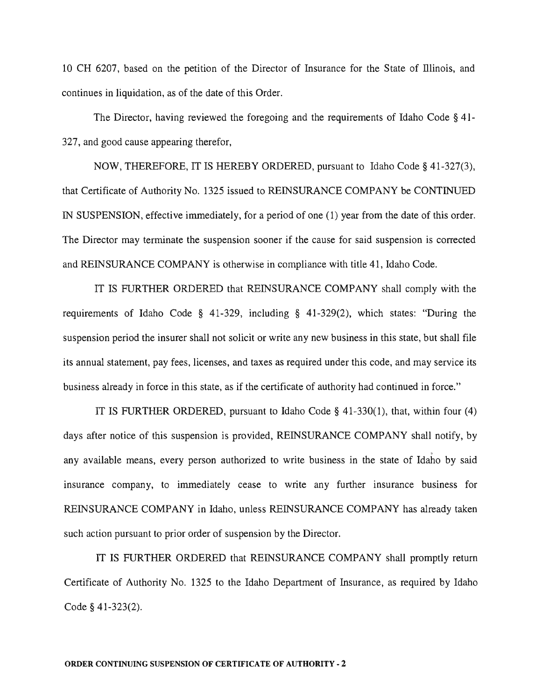10 CH 6207, based on the petition of the Director of Insurance for the State of lllinois, and continues in liquidation, as of the date of this Order.

The Director, having reviewed the foregoing and the requirements of Idaho Code § 41- 327, and good cause appearing therefor,

NOW, THEREFORE, IT IS HEREBY ORDERED, pursuant to Idaho Code § 41-327(3), that Certificate of Authority No. 1325 issued to REINSURANCE COMPANY be CONTINUED IN SUSPENSION, effective immediately, for a period of one (1) year from the date of this order. The Director may terminate the suspension sooner if the cause for said suspension is corrected and REINSURANCE COMPANY is otherwise in compliance with title 41, Idaho Code.

IT IS FURTHER ORDERED that REINSURANCE COMPANY shall comply with the requirements of Idaho Code § 41-329, including § 41-329(2), which states: "During the suspension period the insurer shall not solicit or write any new business in this state, but shall file its annual statement, pay fees, licenses, and taxes as required under this code, and may service its business already in force in this state, as if the certificate of authority had continued in force."

IT IS FURTHER ORDERED, pursuant to Idaho Code § 41-330(1), that, within four (4) days after notice of this suspension is provided, REINSURANCE COMPANY shall notify, by . any available means, every person authorized to write business in the state of Idaho by said insurance company, to immediately cease to write any further insurance business for REINSURANCE COMPANY in Idaho, unless REINSURANCE COMPANY has already taken such action pursuant to prior order of suspension by the Director.

IT IS FURTHER ORDERED that REINSURANCE COMPANY shall promptly return Certificate of Authority No. 1325 to the Idaho Department of Insurance, as required by Idaho Code § 41-323(2).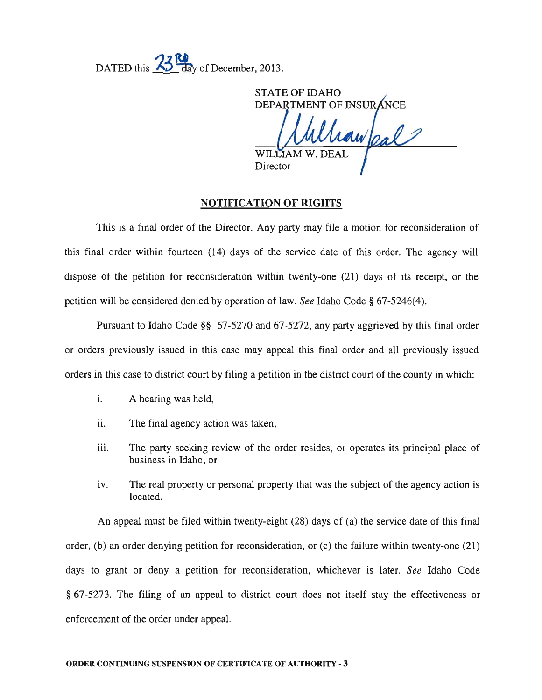DATED this **23 Ref**ay of December, 2013.

STATE OF IDAHO DEPARTMENT OF INSURANCE WILLIAM **Director** 

#### **NOTIFICATION OF RIGHTS**

This is a final order of the Director. Any party may file a motion for reconsideration of this final order within fourteen (14) days of the service date of this order. The agency will dispose of the petition for reconsideration within twenty-one (21) days of its receipt, or the petition will be considered denied by operation of law. *See* Idaho Code § 67-5246(4).

Pursuant to Idaho Code §§ 67-5270 and 67-5272, any party aggrieved by this final order or orders previously issued in this case may appeal this final order and all previously issued orders in this case to district court by filing a petition in the district court of the county in which:

- i. A hearing was held,
- ii. The final agency action was taken,
- iii. The party seeking review of the order resides, or operates its principal place of business in Idaho, or
- iv. The real property or personal property that was the subject of the agency action is located.

An appeal must be filed within twenty-eight (28) days of (a) the service date of this final order, (b) an order denying petition for reconsideration, or (c) the failure within twenty-one (21) days to grant or deny a petition for reconsideration, whichever is later. *See* Idaho Code § 67-5273. The filing of an appeal to district court does not itself stay the effectiveness or enforcement of the order under appeal.